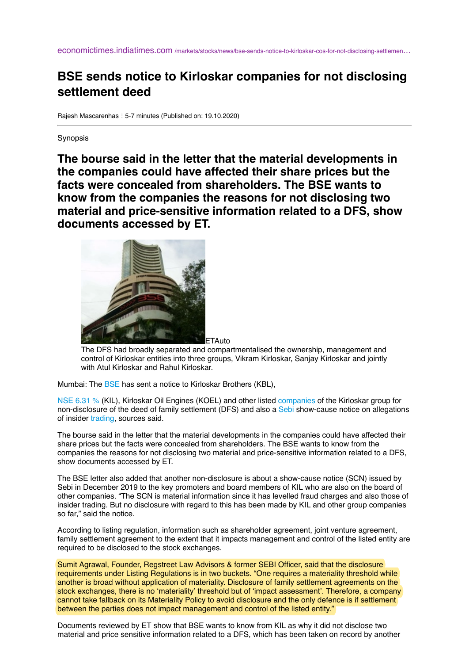economictimes.indiatimes.com [/markets/stocks/news/bse-sends-notice-to-kirloskar-cos-for-not-disclosing-settlemen](https://economictimes.indiatimes.com/markets/stocks/news/bse-sends-notice-to-kirloskar-cos-for-not-disclosing-settlement-deed/articleshow/78738404.cms)...

## **BSE sends notice to Kirloskar companies for not disclosing settlement deed**

Rajesh Mascarenhas : 5-7 minutes (Published on: 19.10.2020)

**Synopsis** 

**The bourse said in the letter that the material developments in the companies could have affected their share prices but the facts were concealed from shareholders. The BSE wants to know from the companies the reasons for not disclosing two material and price-sensitive information related to a DFS, show documents accessed by ET.**



The DFS had broadly separated and compartmentalised the ownership, management and control of Kirloskar entities into three groups, Vikram Kirloskar, Sanjay Kirloskar and jointly with Atul Kirloskar and Rahul Kirloskar.

Mumbai: The **BSE** has sent a notice to Kirloskar Brothers (KBL),

[NSE 6.31 %](https://economictimes.indiatimes.com/kirloskar-ferrous-industries-ltd/stocks/companyid-10413.cms) (KIL), Kirloskar Oil Engines (KOEL) and other listed [companies](https://economictimes.indiatimes.com/topic/companies) of the Kirloskar group for non-disclosure of the deed of family settlement (DFS) and also a [Sebi](https://economictimes.indiatimes.com/topic/Sebi) show-cause notice on allegations of insider [trading](https://economictimes.indiatimes.com/topic/trading), sources said.

The bourse said in the letter that the material developments in the companies could have affected their share prices but the facts were concealed from shareholders. The BSE wants to know from the companies the reasons for not disclosing two material and price-sensitive information related to a DFS, show documents accessed by ET.

The BSE letter also added that another non-disclosure is about a show-cause notice (SCN) issued by Sebi in December 2019 to the key promoters and board members of KIL who are also on the board of other companies. "The SCN is material information since it has levelled fraud charges and also those of insider trading. But no disclosure with regard to this has been made by KIL and other group companies so far," said the notice.

According to listing regulation, information such as shareholder agreement, joint venture agreement, family settlement agreement to the extent that it impacts management and control of the listed entity are required to be disclosed to the stock exchanges.

Sumit Agrawal, Founder, Regstreet Law Advisors & former SEBI Officer, said that the disclosure requirements under Listing Regulations is in two buckets. "One requires a materiality threshold while another is broad without application of materiality. Disclosure of family settlement agreements on the stock exchanges, there is no 'materiality' threshold but of 'impact assessment'. Therefore, a company cannot take fallback on its Materiality Policy to avoid disclosure and the only defence is if settlement between the parties does not impact management and control of the listed entity."

Documents reviewed by ET show that BSE wants to know from KIL as why it did not disclose two material and price sensitive information related to a DFS, which has been taken on record by another